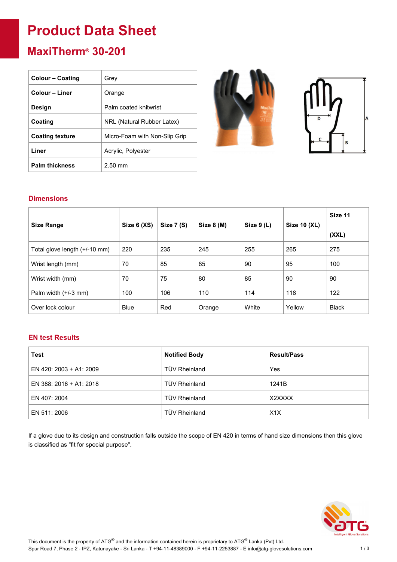# **Product Data Sheet**

### **MaxiTherm® 30-201**

| <b>Colour - Coating</b> | Grey                          |
|-------------------------|-------------------------------|
| Colour - Liner          | Orange                        |
| Design                  | Palm coated knitwrist         |
| Coating                 | NRL (Natural Rubber Latex)    |
| <b>Coating texture</b>  | Micro-Foam with Non-Slip Grip |
| Liner                   | Acrylic, Polyester            |
| <b>Palm thickness</b>   | $2.50 \text{ mm}$             |





#### **Dimensions**

| <b>Size Range</b>             | Size $6(XS)$ | Size $7(S)$ | Size $8(M)$ | Size $9(L)$ | <b>Size 10 (XL)</b> | Size 11      |
|-------------------------------|--------------|-------------|-------------|-------------|---------------------|--------------|
|                               |              |             |             |             |                     | (XXL)        |
| Total glove length (+/-10 mm) | 220          | 235         | 245         | 255         | 265                 | 275          |
| Wrist length (mm)             | 70           | 85          | 85          | 90          | 95                  | 100          |
| Wrist width (mm)              | 70           | 75          | 80          | 85          | 90                  | 90           |
| Palm width $(+/-3$ mm)        | 100          | 106         | 110         | 114         | 118                 | 122          |
| Over lock colour              | <b>Blue</b>  | Red         | Orange      | White       | Yellow              | <b>Black</b> |

#### **EN test Results**

| Test                    | <b>Notified Body</b> | <b>Result/Pass</b> |
|-------------------------|----------------------|--------------------|
| EN 420: 2003 + A1: 2009 | <b>TÜV Rheinland</b> | Yes                |
| EN 388: 2016 + A1: 2018 | <b>TÜV Rheinland</b> | 1241B              |
| EN 407: 2004            | <b>TÜV Rheinland</b> | X2XXXX             |
| EN 511: 2006            | <b>TÜV Rheinland</b> | X1X                |

If a glove due to its design and construction falls outside the scope of EN 420 in terms of hand size dimensions then this glove is classified as "fit for special purpose".

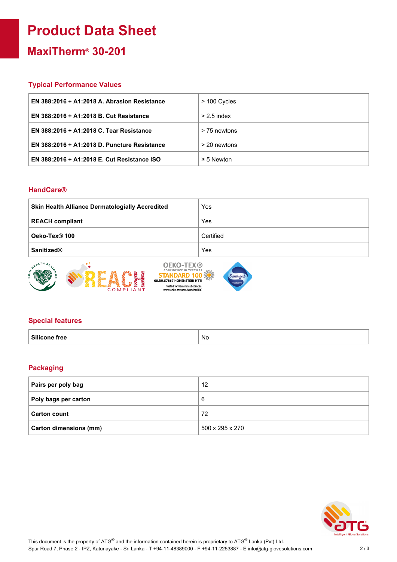## **Product Data Sheet**

**MaxiTherm® 30-201**

#### **Typical Performance Values**

| EN 388:2016 + A1:2018 A. Abrasion Resistance | > 100 Cycles    |
|----------------------------------------------|-----------------|
| EN 388:2016 + A1:2018 B. Cut Resistance      | $> 2.5$ index   |
| EN 388:2016 + A1:2018 C. Tear Resistance     | > 75 newtons    |
| EN 388:2016 + A1:2018 D. Puncture Resistance | $>$ 20 newtons  |
| EN 388:2016 + A1:2018 E. Cut Resistance ISO  | $\geq$ 5 Newton |

#### **HandCare®**

| <b>Skin Health Alliance Dermatologially Accredited</b> | Yes       |
|--------------------------------------------------------|-----------|
| <b>REACH compliant</b>                                 | Yes       |
| Oeko-Tex <sup>®</sup> 100                              | Certified |
| <b>Sanitized®</b>                                      | Yes       |
|                                                        |           |



#### **Special features**

| $\sim$<br>.<br>free<br>cone<br>יווס | . No |
|-------------------------------------|------|
|                                     |      |

#### **Packaging**

| Pairs per poly bag            | 12              |
|-------------------------------|-----------------|
| Poly bags per carton          | 6               |
| <b>Carton count</b>           | 72              |
| <b>Carton dimensions (mm)</b> | 500 x 295 x 270 |